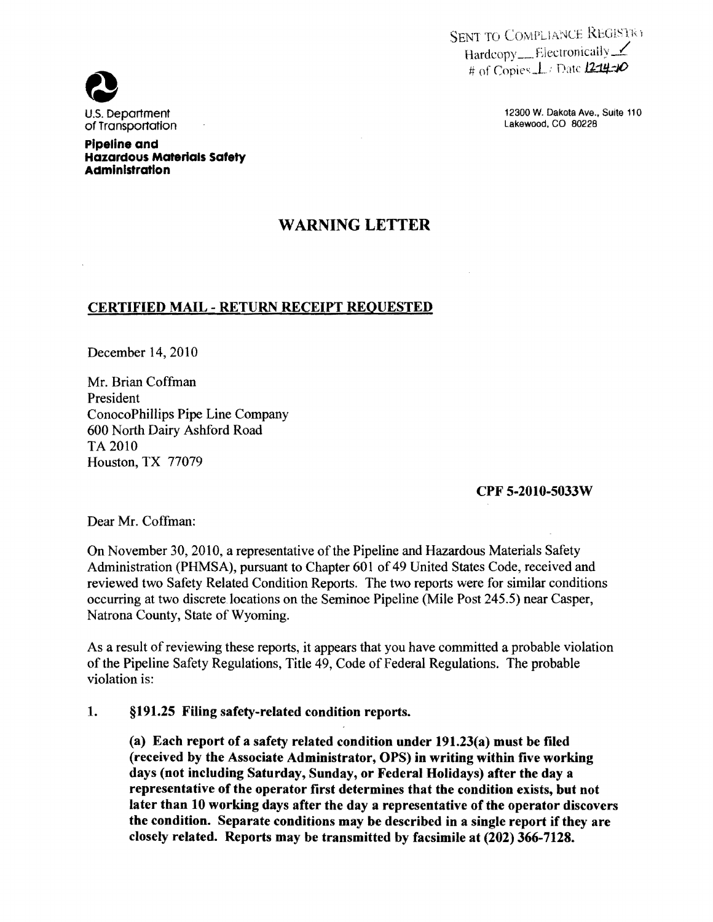SENT TO COMPLIANCE REGISTRY Hardcopy<sub>---</sub>Electronically-# of Copies, L: Date 12-14:10

U.S. Department 12300 W. Dakota Ave., Suite 110



**pipeline and Hazardous Materials Safety Administration** 

## **WARNING LETTER**

## **CERTIFIED MAIL - RETURN RECEIPT REQUESTED**

December 14, 2010

Mr. Brian Coffman President ConocoPhillips Pipe Line Company 600 North Dairy Ashford Road TA2010 Houston, TX 77079

## **CPF 5-2010-5033W**

Dear Mr. Coffman:

On November 30, 2010, a representative of the Pipeline and Hazardous Materials Safety Administration (PHMSA), pursuant to Chapter 601 of 49 United States Code, received and reviewed two Safety Related Condition Reports. The two reports were for similar conditions occurring at two discrete locations on the Seminoe Pipeline (Mile Post 245.5) near Casper, Natrona County, State of Wyoming.

As a result of reviewing these reports, it appears that you have committed a probable violation of the Pipeline Safety Regulations, Title 49, Code of Federal Regulations. The probable violation is:

## **1. §191.25 Filing safety-related condition reports.**

**(a) Each report of a safety related condition under 191.23(a) must be filed (received by the Associate Administrator, OPS) in writing within five working days (not including Saturday, Sunday, or Federal Holidays) after the day a representative of the operator first determines that the condition exists, but not later than 10 working days after the day a representative of the operator discovers the condition. Separate conditions may be described in a single report if they are closely related. Reports may be transmitted by facsimile at (202) 366-7128.**